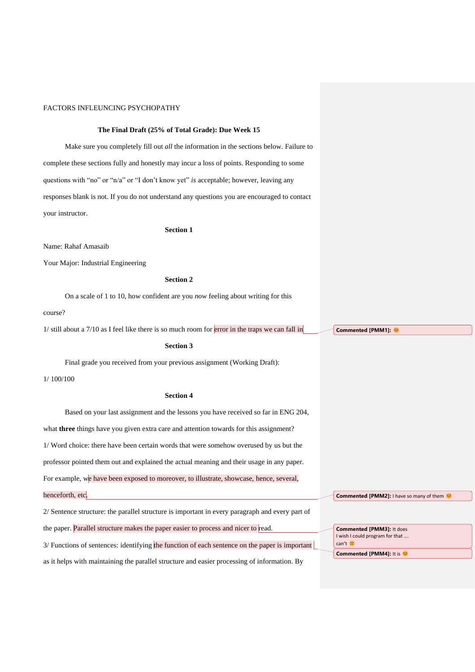## **The Final Draft (25% of Total Grade): Due Week 15**

Make sure you completely fill out *all* the information in the sections below. Failure to complete these sections fully and honestly may incur a loss of points. Responding to some questions with "no" or "n/a" or "I don't know yet" *is* acceptable; however, leaving any responses blank is not. If you do not understand any questions you are encouraged to contact your instructor.

#### **Section 1**

Name: Rahaf Amasaib

Your Major: Industrial Engineering

### **Section 2**

On a scale of 1 to 10, how confident are you *now* feeling about writing for this

#### course?

 $1/$  still about a  $7/10$  as I feel like there is so much room for error in the traps we can fall in

## **Section 3**

Final grade you received from your previous assignment (Working Draft):

1/ 100/100

#### **Section 4**

Based on your last assignment and the lessons you have received so far in ENG 204, what **three** things have you given extra care and attention towards for this assignment? 1/ Word choice: there have been certain words that were somehow overused by us but the professor pointed them out and explained the actual meaning and their usage in any paper. For example, we have been exposed to moreover, to illustrate, showcase, hence, several, henceforth, etc. 2/ Sentence structure: the parallel structure is important in every paragraph and every part of the paper. Parallel structure makes the paper easier to process and nicer to read. 3/ Functions of sentences: identifying the function of each sentence on the paper is important can't

as it helps with maintaining the parallel structure and easier processing of information. By

**Commented [PMM1]:** 

**Commented [PMM2]:** I have so many of them

**Commented [PMM3]:** It does I wish I could program for that ... **Commented [PMM4]:** It is  $\heartsuit$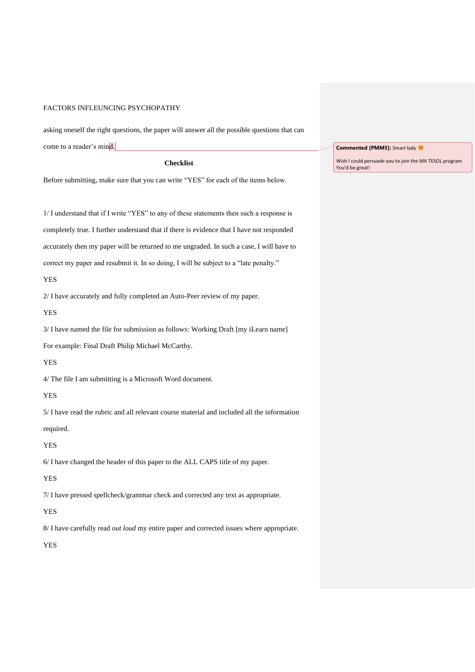asking oneself the right questions, the paper will answer all the possible questions that can come to a reader's mind.

**Checklist**

Before submitting, make sure that you can write "YES" for each of the items below.

1/ I understand that if I write "YES" to any of these statements then such a response is completely true. I further understand that if there is evidence that I have not responded accurately then my paper will be returned to me ungraded. In such a case, I will have to correct my paper and resubmit it. In so doing, I will be subject to a "late penalty."

YES

2/ I have accurately and fully completed an Auto-Peer review of my paper.

YES

3/ I have named the file for submission as follows: Working Draft [my iLearn name]

For example: Final Draft Philip Michael McCarthy.

YES

4/ The file I am submitting is a Microsoft Word document.

#### YES

5/ I have read the rubric and all relevant course material and included all the information

required.

YES

6/ I have changed the header of this paper to the ALL CAPS title of my paper.

#### YES

7/ I have pressed spellcheck/grammar check and corrected any text as appropriate.

## YES

8/ I have carefully read *out loud* my entire paper and corrected issues where appropriate.

YES

## **Commented [PMM5]:** Smart lady  $\heartsuit$

Wish I could persuade you to join the MA TESOL program You'd be great!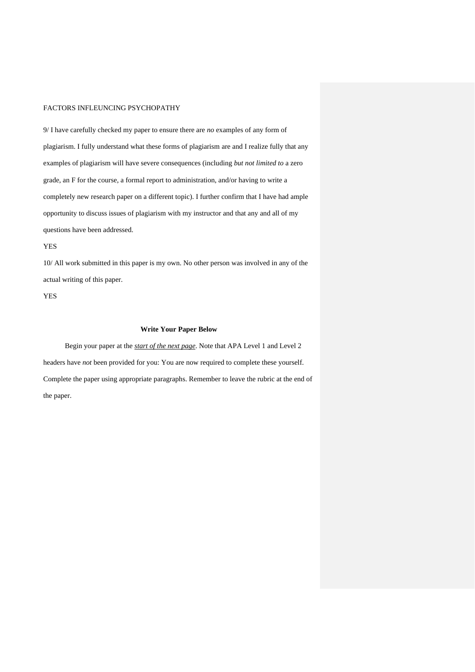9/ I have carefully checked my paper to ensure there are *no* examples of any form of plagiarism. I fully understand what these forms of plagiarism are and I realize fully that any examples of plagiarism will have severe consequences (including *but not limited to* a zero grade, an F for the course, a formal report to administration, and/or having to write a completely new research paper on a different topic). I further confirm that I have had ample opportunity to discuss issues of plagiarism with my instructor and that any and all of my questions have been addressed.

YES

10/ All work submitted in this paper is my own. No other person was involved in any of the actual writing of this paper.

YES

## **Write Your Paper Below**

Begin your paper at the *start of the next page*. Note that APA Level 1 and Level 2 headers have *not* been provided for you: You are now required to complete these yourself. Complete the paper using appropriate paragraphs. Remember to leave the rubric at the end of the paper.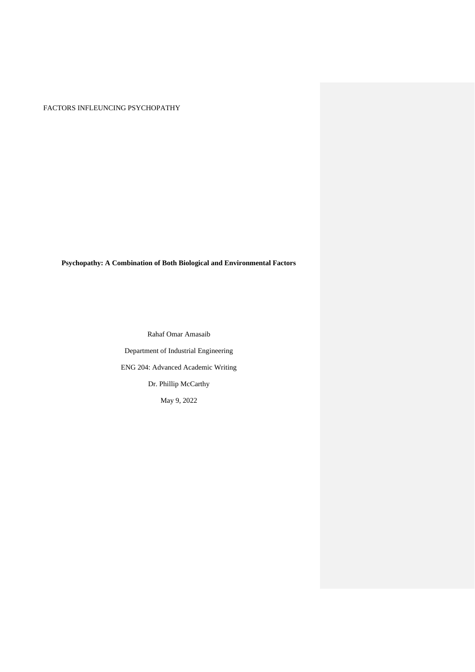**Psychopathy: A Combination of Both Biological and Environmental Factors**

Rahaf Omar Amasaib Department of Industrial Engineering ENG 204: Advanced Academic Writing Dr. Phillip McCarthy May 9, 2022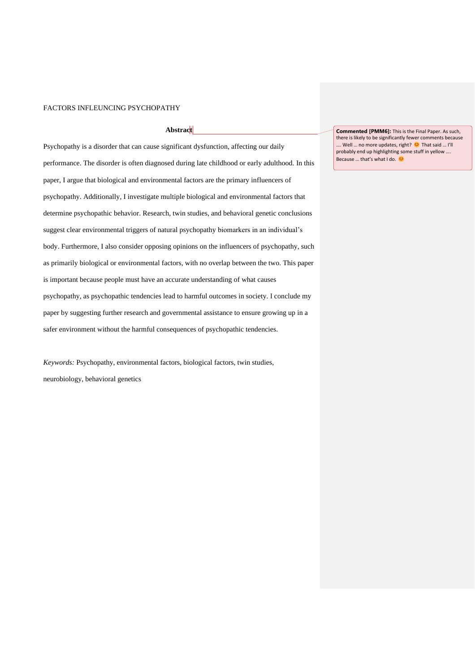## **Abstract**

Psychopathy is a disorder that can cause significant dysfunction, affecting our daily performance. The disorder is often diagnosed during late childhood or early adulthood. In this paper, I argue that biological and environmental factors are the primary influencers of psychopathy. Additionally, I investigate multiple biological and environmental factors that determine psychopathic behavior. Research, twin studies, and behavioral genetic conclusions suggest clear environmental triggers of natural psychopathy biomarkers in an individual's body. Furthermore, I also consider opposing opinions on the influencers of psychopathy, such as primarily biological or environmental factors, with no overlap between the two. This paper is important because people must have an accurate understanding of what causes psychopathy, as psychopathic tendencies lead to harmful outcomes in society. I conclude my paper by suggesting further research and governmental assistance to ensure growing up in a safer environment without the harmful consequences of psychopathic tendencies.

*Keywords:* Psychopathy, environmental factors, biological factors, twin studies, neurobiology, behavioral genetics

**Commented [PMM6]:** This is the Final Paper. As such, there is likely to be significantly fewer comments because …. Well … no more updates, right? <sup>©</sup> That said … I'll probably end up highlighting some stuff in yellow …. Because ... that's what I do. ©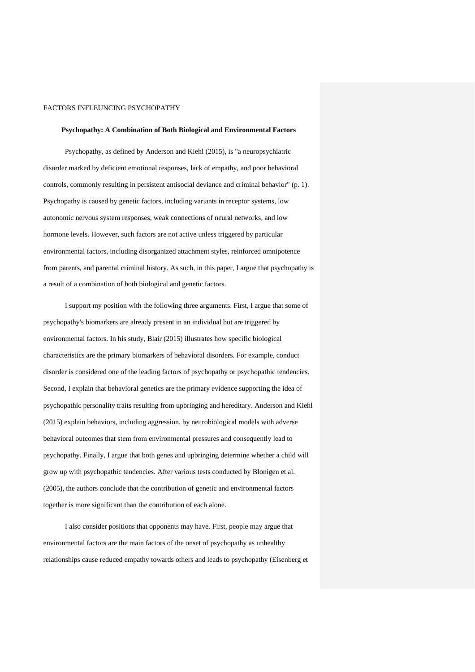#### **Psychopathy: A Combination of Both Biological and Environmental Factors**

Psychopathy, as defined by Anderson and Kiehl (2015), is "a neuropsychiatric disorder marked by deficient emotional responses, lack of empathy, and poor behavioral controls, commonly resulting in persistent antisocial deviance and criminal behavior" (p. 1). Psychopathy is caused by genetic factors, including variants in receptor systems, low autonomic nervous system responses, weak connections of neural networks, and low hormone levels. However, such factors are not active unless triggered by particular environmental factors, including disorganized attachment styles, reinforced omnipotence from parents, and parental criminal history. As such, in this paper, I argue that psychopathy is a result of a combination of both biological and genetic factors.

I support my position with the following three arguments. First, I argue that some of psychopathy's biomarkers are already present in an individual but are triggered by environmental factors. In his study, Blair (2015) illustrates how specific biological characteristics are the primary biomarkers of behavioral disorders. For example, conduct disorder is considered one of the leading factors of psychopathy or psychopathic tendencies. Second, I explain that behavioral genetics are the primary evidence supporting the idea of psychopathic personality traits resulting from upbringing and hereditary. Anderson and Kiehl (2015) explain behaviors, including aggression, by neurobiological models with adverse behavioral outcomes that stem from environmental pressures and consequently lead to psychopathy. Finally, I argue that both genes and upbringing determine whether a child will grow up with psychopathic tendencies. After various tests conducted by Blonigen et al. (2005), the authors conclude that the contribution of genetic and environmental factors together is more significant than the contribution of each alone.

I also consider positions that opponents may have. First, people may argue that environmental factors are the main factors of the onset of psychopathy as unhealthy relationships cause reduced empathy towards others and leads to psychopathy (Eisenberg et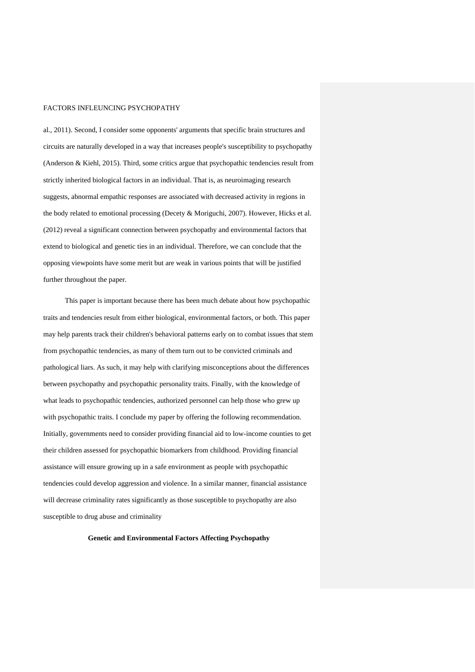al., 2011). Second, I consider some opponents' arguments that specific brain structures and circuits are naturally developed in a way that increases people's susceptibility to psychopathy (Anderson & Kiehl, 2015). Third, some critics argue that psychopathic tendencies result from strictly inherited biological factors in an individual. That is, as neuroimaging research suggests, abnormal empathic responses are associated with decreased activity in regions in the body related to emotional processing (Decety & Moriguchi, 2007). However, Hicks et al. (2012) reveal a significant connection between psychopathy and environmental factors that extend to biological and genetic ties in an individual. Therefore, we can conclude that the opposing viewpoints have some merit but are weak in various points that will be justified further throughout the paper.

This paper is important because there has been much debate about how psychopathic traits and tendencies result from either biological, environmental factors, or both. This paper may help parents track their children's behavioral patterns early on to combat issues that stem from psychopathic tendencies, as many of them turn out to be convicted criminals and pathological liars. As such, it may help with clarifying misconceptions about the differences between psychopathy and psychopathic personality traits. Finally, with the knowledge of what leads to psychopathic tendencies, authorized personnel can help those who grew up with psychopathic traits. I conclude my paper by offering the following recommendation. Initially, governments need to consider providing financial aid to low-income counties to get their children assessed for psychopathic biomarkers from childhood. Providing financial assistance will ensure growing up in a safe environment as people with psychopathic tendencies could develop aggression and violence. In a similar manner, financial assistance will decrease criminality rates significantly as those susceptible to psychopathy are also susceptible to drug abuse and criminality

**Genetic and Environmental Factors Affecting Psychopathy**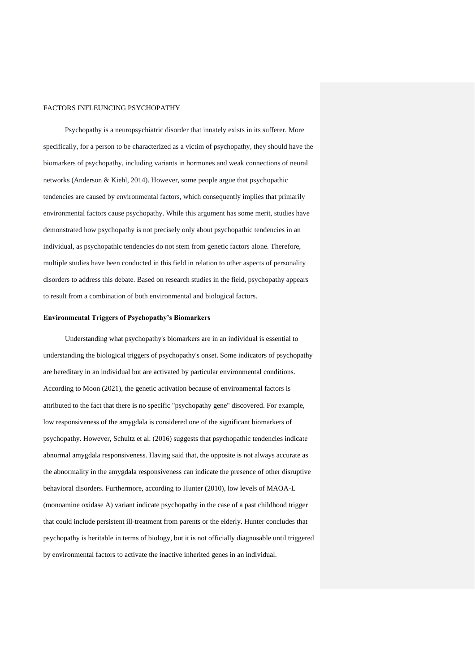Psychopathy is a neuropsychiatric disorder that innately exists in its sufferer. More specifically, for a person to be characterized as a victim of psychopathy, they should have the biomarkers of psychopathy, including variants in hormones and weak connections of neural networks (Anderson & Kiehl, 2014). However, some people argue that psychopathic tendencies are caused by environmental factors, which consequently implies that primarily environmental factors cause psychopathy. While this argument has some merit, studies have demonstrated how psychopathy is not precisely only about psychopathic tendencies in an individual, as psychopathic tendencies do not stem from genetic factors alone. Therefore, multiple studies have been conducted in this field in relation to other aspects of personality disorders to address this debate. Based on research studies in the field, psychopathy appears to result from a combination of both environmental and biological factors.

#### **Environmental Triggers of Psychopathy's Biomarkers**

Understanding what psychopathy's biomarkers are in an individual is essential to understanding the biological triggers of psychopathy's onset. Some indicators of psychopathy are hereditary in an individual but are activated by particular environmental conditions. According to Moon (2021), the genetic activation because of environmental factors is attributed to the fact that there is no specific "psychopathy gene" discovered. For example, low responsiveness of the amygdala is considered one of the significant biomarkers of psychopathy. However, Schultz et al. (2016) suggests that psychopathic tendencies indicate abnormal amygdala responsiveness. Having said that, the opposite is not always accurate as the abnormality in the amygdala responsiveness can indicate the presence of other disruptive behavioral disorders. Furthermore, according to Hunter (2010), low levels of MAOA-L (monoamine oxidase A) variant indicate psychopathy in the case of a past childhood trigger that could include persistent ill-treatment from parents or the elderly. Hunter concludes that psychopathy is heritable in terms of biology, but it is not officially diagnosable until triggered by environmental factors to activate the inactive inherited genes in an individual.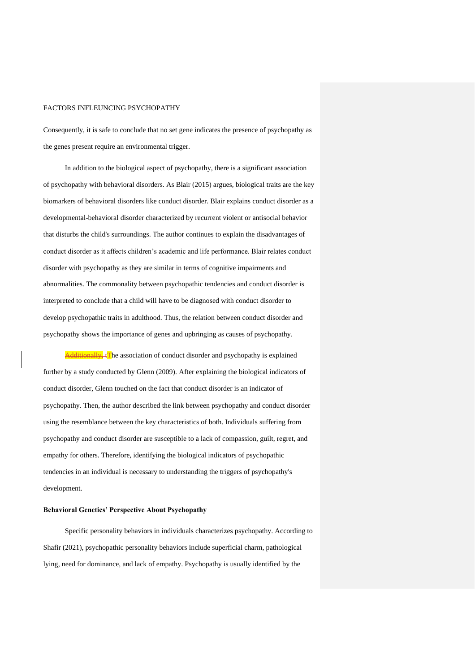Consequently, it is safe to conclude that no set gene indicates the presence of psychopathy as the genes present require an environmental trigger.

In addition to the biological aspect of psychopathy, there is a significant association of psychopathy with behavioral disorders. As Blair (2015) argues, biological traits are the key biomarkers of behavioral disorders like conduct disorder. Blair explains conduct disorder as a developmental-behavioral disorder characterized by recurrent violent or antisocial behavior that disturbs the child's surroundings. The author continues to explain the disadvantages of conduct disorder as it affects children's academic and life performance. Blair relates conduct disorder with psychopathy as they are similar in terms of cognitive impairments and abnormalities. The commonality between psychopathic tendencies and conduct disorder is interpreted to conclude that a child will have to be diagnosed with conduct disorder to develop psychopathic traits in adulthood. Thus, the relation between conduct disorder and psychopathy shows the importance of genes and upbringing as causes of psychopathy.

Additionally, tThe association of conduct disorder and psychopathy is explained further by a study conducted by Glenn (2009). After explaining the biological indicators of conduct disorder, Glenn touched on the fact that conduct disorder is an indicator of psychopathy. Then, the author described the link between psychopathy and conduct disorder using the resemblance between the key characteristics of both. Individuals suffering from psychopathy and conduct disorder are susceptible to a lack of compassion, guilt, regret, and empathy for others. Therefore, identifying the biological indicators of psychopathic tendencies in an individual is necessary to understanding the triggers of psychopathy's development.

#### **Behavioral Genetics' Perspective About Psychopathy**

Specific personality behaviors in individuals characterizes psychopathy. According to Shafir (2021), psychopathic personality behaviors include superficial charm, pathological lying, need for dominance, and lack of empathy. Psychopathy is usually identified by the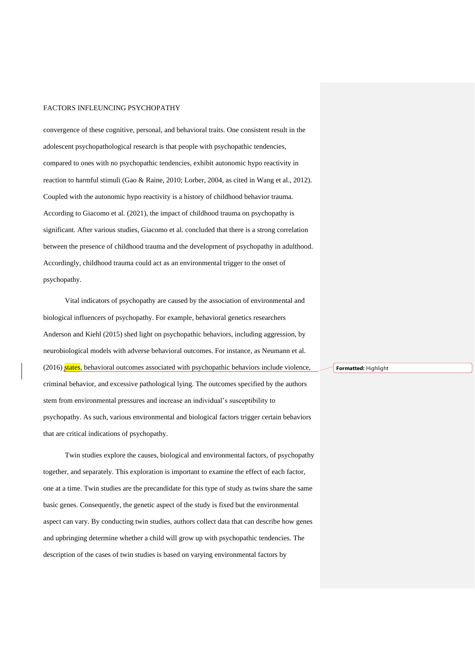convergence of these cognitive, personal, and behavioral traits. One consistent result in the adolescent psychopathological research is that people with psychopathic tendencies, compared to ones with no psychopathic tendencies, exhibit autonomic hypo reactivity in reaction to harmful stimuli (Gao & Raine, 2010; Lorber, 2004, as cited in Wang et al., 2012). Coupled with the autonomic hypo reactivity is a history of childhood behavior trauma. According to Giacomo et al. (2021), the impact of childhood trauma on psychopathy is significant. After various studies, Giacomo et al. concluded that there is a strong correlation between the presence of childhood trauma and the development of psychopathy in adulthood. Accordingly, childhood trauma could act as an environmental trigger to the onset of psychopathy.

Vital indicators of psychopathy are caused by the association of environmental and biological influencers of psychopathy. For example, behavioral genetics researchers Anderson and Kiehl (2015) shed light on psychopathic behaviors, including aggression, by neurobiological models with adverse behavioral outcomes. For instance, as Neumann et al. (2016) states, behavioral outcomes associated with psychopathic behaviors include violence, criminal behavior, and excessive pathological lying. The outcomes specified by the authors stem from environmental pressures and increase an individual's susceptibility to psychopathy. As such, various environmental and biological factors trigger certain behaviors that are critical indications of psychopathy.

Twin studies explore the causes, biological and environmental factors, of psychopathy together, and separately. This exploration is important to examine the effect of each factor, one at a time. Twin studies are the precandidate for this type of study as twins share the same basic genes. Consequently, the genetic aspect of the study is fixed but the environmental aspect can vary. By conducting twin studies, authors collect data that can describe how genes and upbringing determine whether a child will grow up with psychopathic tendencies. The description of the cases of twin studies is based on varying environmental factors by

**Formatted:** Highlight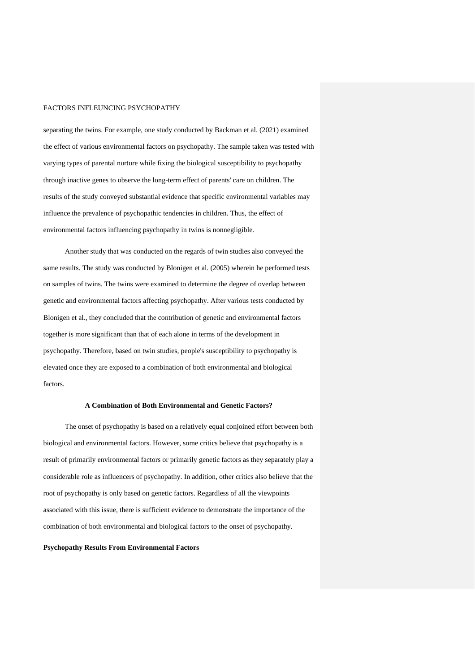separating the twins. For example, one study conducted by Backman et al. (2021) examined the effect of various environmental factors on psychopathy. The sample taken was tested with varying types of parental nurture while fixing the biological susceptibility to psychopathy through inactive genes to observe the long-term effect of parents' care on children. The results of the study conveyed substantial evidence that specific environmental variables may influence the prevalence of psychopathic tendencies in children. Thus, the effect of environmental factors influencing psychopathy in twins is nonnegligible.

Another study that was conducted on the regards of twin studies also conveyed the same results. The study was conducted by Blonigen et al. (2005) wherein he performed tests on samples of twins. The twins were examined to determine the degree of overlap between genetic and environmental factors affecting psychopathy. After various tests conducted by Blonigen et al., they concluded that the contribution of genetic and environmental factors together is more significant than that of each alone in terms of the development in psychopathy. Therefore, based on twin studies, people's susceptibility to psychopathy is elevated once they are exposed to a combination of both environmental and biological factors.

### **A Combination of Both Environmental and Genetic Factors?**

The onset of psychopathy is based on a relatively equal conjoined effort between both biological and environmental factors. However, some critics believe that psychopathy is a result of primarily environmental factors or primarily genetic factors as they separately play a considerable role as influencers of psychopathy. In addition, other critics also believe that the root of psychopathy is only based on genetic factors. Regardless of all the viewpoints associated with this issue, there is sufficient evidence to demonstrate the importance of the combination of both environmental and biological factors to the onset of psychopathy.

### **Psychopathy Results From Environmental Factors**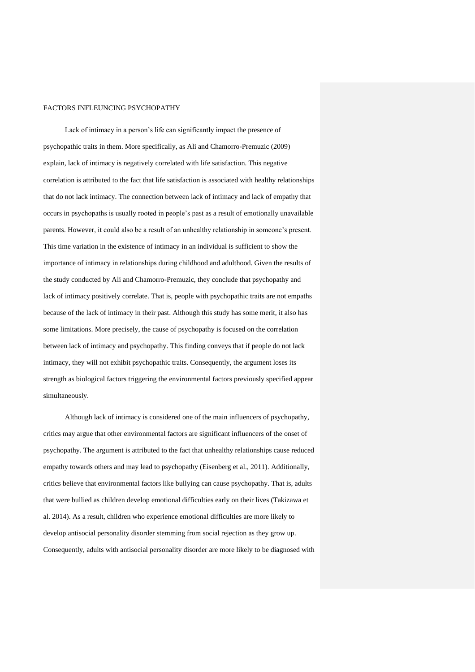Lack of intimacy in a person's life can significantly impact the presence of psychopathic traits in them. More specifically, as Ali and Chamorro-Premuzic (2009) explain, lack of intimacy is negatively correlated with life satisfaction. This negative correlation is attributed to the fact that life satisfaction is associated with healthy relationships that do not lack intimacy. The connection between lack of intimacy and lack of empathy that occurs in psychopaths is usually rooted in people's past as a result of emotionally unavailable parents. However, it could also be a result of an unhealthy relationship in someone's present. This time variation in the existence of intimacy in an individual is sufficient to show the importance of intimacy in relationships during childhood and adulthood. Given the results of the study conducted by Ali and Chamorro-Premuzic, they conclude that psychopathy and lack of intimacy positively correlate. That is, people with psychopathic traits are not empaths because of the lack of intimacy in their past. Although this study has some merit, it also has some limitations. More precisely, the cause of psychopathy is focused on the correlation between lack of intimacy and psychopathy. This finding conveys that if people do not lack intimacy, they will not exhibit psychopathic traits. Consequently, the argument loses its strength as biological factors triggering the environmental factors previously specified appear simultaneously.

Although lack of intimacy is considered one of the main influencers of psychopathy, critics may argue that other environmental factors are significant influencers of the onset of psychopathy. The argument is attributed to the fact that unhealthy relationships cause reduced empathy towards others and may lead to psychopathy (Eisenberg et al., 2011). Additionally, critics believe that environmental factors like bullying can cause psychopathy. That is, adults that were bullied as children develop emotional difficulties early on their lives (Takizawa et al. 2014). As a result, children who experience emotional difficulties are more likely to develop antisocial personality disorder stemming from social rejection as they grow up. Consequently, adults with antisocial personality disorder are more likely to be diagnosed with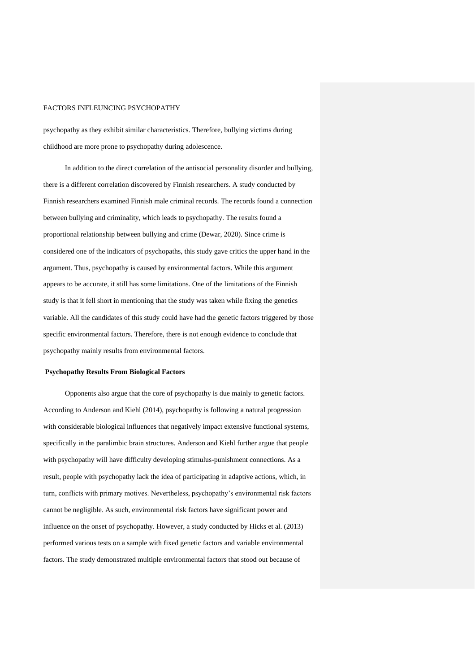psychopathy as they exhibit similar characteristics. Therefore, bullying victims during childhood are more prone to psychopathy during adolescence.

In addition to the direct correlation of the antisocial personality disorder and bullying, there is a different correlation discovered by Finnish researchers. A study conducted by Finnish researchers examined Finnish male criminal records. The records found a connection between bullying and criminality, which leads to psychopathy. The results found a proportional relationship between bullying and crime (Dewar, 2020). Since crime is considered one of the indicators of psychopaths, this study gave critics the upper hand in the argument. Thus, psychopathy is caused by environmental factors. While this argument appears to be accurate, it still has some limitations. One of the limitations of the Finnish study is that it fell short in mentioning that the study was taken while fixing the genetics variable. All the candidates of this study could have had the genetic factors triggered by those specific environmental factors. Therefore, there is not enough evidence to conclude that psychopathy mainly results from environmental factors.

## **Psychopathy Results From Biological Factors**

Opponents also argue that the core of psychopathy is due mainly to genetic factors. According to Anderson and Kiehl (2014), psychopathy is following a natural progression with considerable biological influences that negatively impact extensive functional systems, specifically in the paralimbic brain structures. Anderson and Kiehl further argue that people with psychopathy will have difficulty developing stimulus-punishment connections. As a result, people with psychopathy lack the idea of participating in adaptive actions, which, in turn, conflicts with primary motives. Nevertheless, psychopathy's environmental risk factors cannot be negligible. As such, environmental risk factors have significant power and influence on the onset of psychopathy. However, a study conducted by Hicks et al. (2013) performed various tests on a sample with fixed genetic factors and variable environmental factors. The study demonstrated multiple environmental factors that stood out because of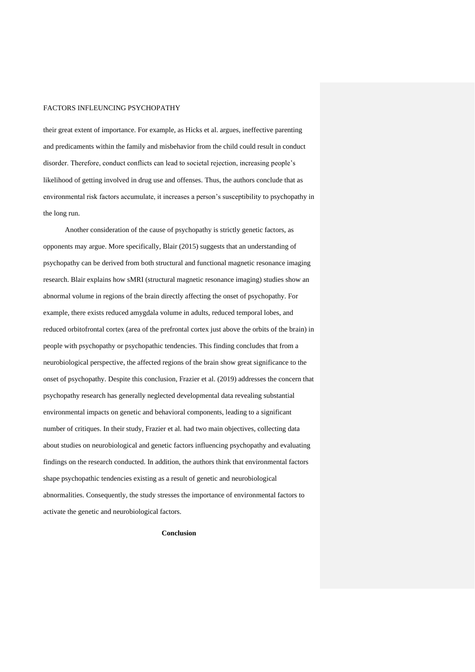their great extent of importance. For example, as Hicks et al. argues, ineffective parenting and predicaments within the family and misbehavior from the child could result in conduct disorder. Therefore, conduct conflicts can lead to societal rejection, increasing people's likelihood of getting involved in drug use and offenses. Thus, the authors conclude that as environmental risk factors accumulate, it increases a person's susceptibility to psychopathy in the long run.

Another consideration of the cause of psychopathy is strictly genetic factors, as opponents may argue. More specifically, Blair (2015) suggests that an understanding of psychopathy can be derived from both structural and functional magnetic resonance imaging research. Blair explains how sMRI (structural magnetic resonance imaging) studies show an abnormal volume in regions of the brain directly affecting the onset of psychopathy. For example, there exists reduced amygdala volume in adults, reduced temporal lobes, and reduced orbitofrontal cortex (area of the prefrontal cortex just above the orbits of the brain) in people with psychopathy or psychopathic tendencies. This finding concludes that from a neurobiological perspective, the affected regions of the brain show great significance to the onset of psychopathy. Despite this conclusion, Frazier et al. (2019) addresses the concern that psychopathy research has generally neglected developmental data revealing substantial environmental impacts on genetic and behavioral components, leading to a significant number of critiques. In their study, Frazier et al. had two main objectives, collecting data about studies on neurobiological and genetic factors influencing psychopathy and evaluating findings on the research conducted. In addition, the authors think that environmental factors shape psychopathic tendencies existing as a result of genetic and neurobiological abnormalities. Consequently, the study stresses the importance of environmental factors to activate the genetic and neurobiological factors.

## **Conclusion**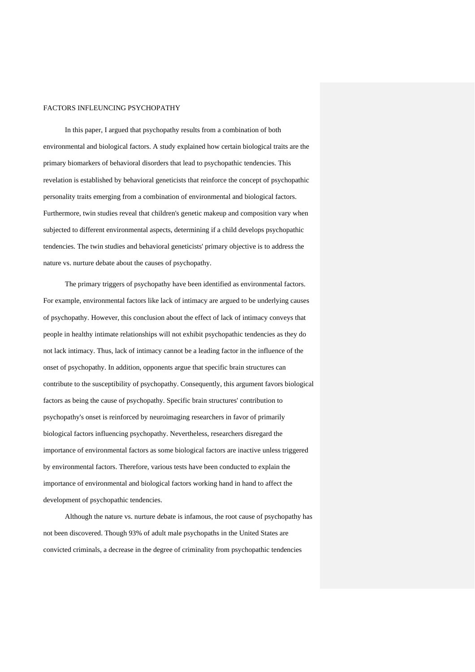In this paper, I argued that psychopathy results from a combination of both environmental and biological factors. A study explained how certain biological traits are the primary biomarkers of behavioral disorders that lead to psychopathic tendencies. This revelation is established by behavioral geneticists that reinforce the concept of psychopathic personality traits emerging from a combination of environmental and biological factors. Furthermore, twin studies reveal that children's genetic makeup and composition vary when subjected to different environmental aspects, determining if a child develops psychopathic tendencies. The twin studies and behavioral geneticists' primary objective is to address the nature vs. nurture debate about the causes of psychopathy.

The primary triggers of psychopathy have been identified as environmental factors. For example, environmental factors like lack of intimacy are argued to be underlying causes of psychopathy. However, this conclusion about the effect of lack of intimacy conveys that people in healthy intimate relationships will not exhibit psychopathic tendencies as they do not lack intimacy. Thus, lack of intimacy cannot be a leading factor in the influence of the onset of psychopathy. In addition, opponents argue that specific brain structures can contribute to the susceptibility of psychopathy. Consequently, this argument favors biological factors as being the cause of psychopathy. Specific brain structures' contribution to psychopathy's onset is reinforced by neuroimaging researchers in favor of primarily biological factors influencing psychopathy. Nevertheless, researchers disregard the importance of environmental factors as some biological factors are inactive unless triggered by environmental factors. Therefore, various tests have been conducted to explain the importance of environmental and biological factors working hand in hand to affect the development of psychopathic tendencies.

Although the nature vs. nurture debate is infamous, the root cause of psychopathy has not been discovered. Though 93% of adult male psychopaths in the United States are convicted criminals, a decrease in the degree of criminality from psychopathic tendencies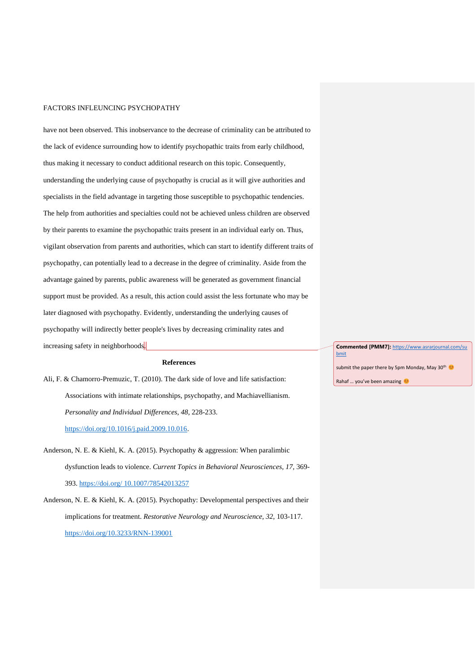have not been observed. This inobservance to the decrease of criminality can be attributed to the lack of evidence surrounding how to identify psychopathic traits from early childhood, thus making it necessary to conduct additional research on this topic. Consequently, understanding the underlying cause of psychopathy is crucial as it will give authorities and specialists in the field advantage in targeting those susceptible to psychopathic tendencies. The help from authorities and specialties could not be achieved unless children are observed by their parents to examine the psychopathic traits present in an individual early on. Thus, vigilant observation from parents and authorities, which can start to identify different traits of psychopathy, can potentially lead to a decrease in the degree of criminality. Aside from the advantage gained by parents, public awareness will be generated as government financial support must be provided. As a result, this action could assist the less fortunate who may be later diagnosed with psychopathy. Evidently, understanding the underlying causes of psychopathy will indirectly better people's lives by decreasing criminality rates and increasing safety in neighborhoods.

### **References**

Ali, F. & Chamorro-Premuzic, T. (2010). The dark side of love and life satisfaction: Associations with intimate relationships, psychopathy, and Machiavellianism. *Personality and Individual Differences, 48,* 228-233. [https://doi.org/10.1016/j.paid.2009.10.016.](https://doi.org/10.1016/j.paid.2009.10.016)

- Anderson, N. E. & Kiehl, K. A. (2015). Psychopathy & aggression: When paralimbic dysfunction leads to violence. *Current Topics in Behavioral Neurosciences, 17,* 369- 393. [https://doi.org/ 10.1007/78542013257](https://doi.org/%2010.1007/78542013257)
- Anderson, N. E. & Kiehl, K. A. (2015). Psychopathy: Developmental perspectives and their implications for treatment. *Restorative Neurology and Neuroscience, 32*, 103-117. <https://doi.org/10.3233/RNN-139001>

**Commented [PMM7]:** [https://www.asrarjournal.com/su](https://www.asrarjournal.com/submit) [bmit](https://www.asrarjournal.com/submit)

submit the paper there by 5pm Monday, May 30th

Rahaf ... you've been amazing  $\heartsuit$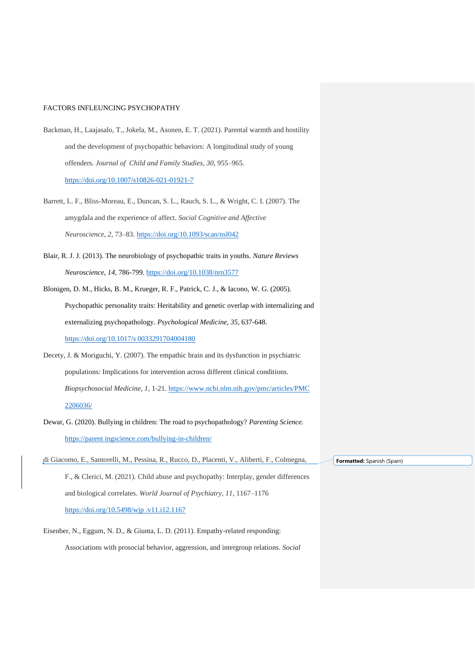- Backman, H., Laajasalo, T., Jokela, M., Asonen, E. T. (2021). Parental warmth and hostility and the development of psychopathic behaviors: A longitudinal study of young offenders*. Journal of Child and Family Studies, 30,* 955–965. <https://doi.org/10.1007/s10826-021-01921-7>
- Barrett, L. F., Bliss-Moreau, E., Duncan, S. L., Rauch, S. L., & Wright, C. I. (2007). The amygdala and the experience of affect. *Social Cognitive and Affective Neuroscience*, *2*, 73–83.<https://doi.org/10.1093/scan/nsl042>
- Blair, R. J. J. (2013). The neurobiology of psychopathic traits in youths. *Nature Reviews Neuroscience, 14,* 786-799.<https://doi.org/10.1038/nrn3577>
- Blonigen, D. M., Hicks, B. M., Krueger, R. F., Patrick, C. J., & Iacono, W. G. (2005). Psychopathic personality traits: Heritability and genetic overlap with internalizing and externalizing psychopathology. *Psychological Medicine, 35,* 637-648. [https://doi.org/10.1017/s 0033291704004180](https://doi.org/10.1017/s%200033291704004180)
- Decety, J. & Moriguchi, Y. (2007). The empathic brain and its dysfunction in psychiatric populations: Implications for intervention across different clinical conditions. *Biopsychosocial Medicine, 1,* 1-21. [https://www.ncbi.nlm.nih.gov/pmc/articles/PMC](https://www.ncbi.nlm.nih.gov/pmc/articles/PMC%202206036/)  [2206036/](https://www.ncbi.nlm.nih.gov/pmc/articles/PMC%202206036/)
- Dewar, G. (2020). Bullying in children: The road to psychopathology? *Parenting Science.* https://parent ingscience.com/bullying-in-children/
- di Giacomo, E., Santorelli, M., Pessina, R., Rucco, D., Placenti, V., Aliberti, F., Colmegna, F., & Clerici, M. (2021). Child abuse and psychopathy: Interplay, gender differences and biological correlates. *World Journal of Psychiatry*, *11*, 1167–1176 [https://doi.org/10.5498/wjp .v11.i12.1167](https://doi.org/10.5498/wjp%20.v11.i12.1167)
- Eisenber, N., Eggum, N. D., & Giunta, L. D. (2011). Empathy-related responding: Associations with prosocial behavior, aggression, and intergroup relations. *Social*

**Formatted:** Spanish (Spain)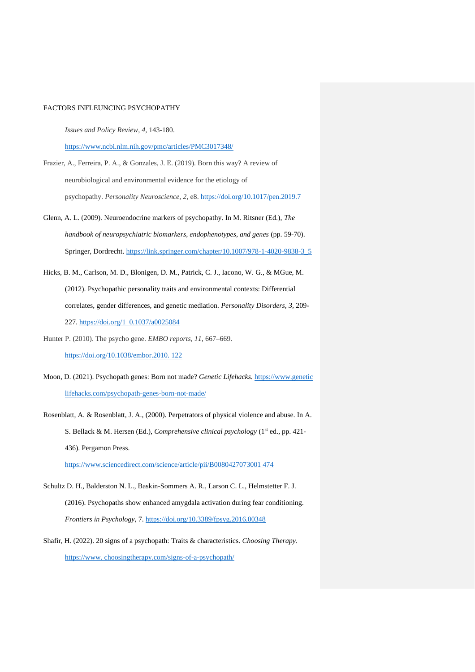*Issues and Policy Review, 4,* 143-180.

<https://www.ncbi.nlm.nih.gov/pmc/articles/PMC3017348/>

- Frazier, A., Ferreira, P. A., & Gonzales, J. E. (2019). Born this way? A review of neurobiological and environmental evidence for the etiology of psychopathy. *Personality Neuroscience*, *2*, e8.<https://doi.org/10.1017/pen.2019.7>
- Glenn, A. L. (2009). Neuroendocrine markers of psychopathy. In M. Ritsner (Ed.), *The handbook of neuropsychiatric biomarkers, endophenotypes, and genes* (pp. 59-70). Springer, Dordrecht. [https://link.springer.com/chapter/10.1007/978-1-4020-9838-3\\_5](https://link.springer.com/chapter/10.1007/978-1-4020-9838-3_5)
- Hicks, B. M., Carlson, M. D., Blonigen, D. M., Patrick, C. J., Iacono, W. G., & MGue, M. (2012). Psychopathic personality traits and environmental contexts: Differential correlates, gender differences, and genetic mediation*. Personality Disorders, 3,* 209- 227. [https://doi.org/1 0.1037/a0025084](https://doi.org/1%20%200.1037/a0025084)
- Hunter P. (2010). The psycho gene. *EMBO reports*, *11*, 667–669. [https://doi.org/10.1038/embor.2010. 122](https://doi.org/10.1038/embor.2010.%20122)
- Moon, D. (2021). Psychopath genes: Born not made? *Genetic Lifehacks.* https://www.genetic lifehacks.com/psychopath-genes-born-not-made/
- Rosenblatt, A. & Rosenblatt, J. A., (2000). Perpetrators of physical violence and abuse. In A. S. Bellack & M. Hersen (Ed.), *Comprehensive clinical psychology* (1st ed., pp. 421- 436). Pergamon Press.

[https://www.sciencedirect.com/science/article/pii/B0080427073001 474](https://www.sciencedirect.com/science/article/pii/B0080427073001%20474)

- Schultz D. H., Balderston N. L., Baskin-Sommers A. R., Larson C. L., Helmstetter F. J. (2016). Psychopaths show enhanced amygdala activation during fear conditioning. *Frontiers in Psychology*, 7.<https://doi.org/10.3389/fpsyg.2016.00348>
- Shafir, H. (2022). 20 signs of a psychopath: Traits & characteristics. *Choosing Therapy*. https://www. choosingtherapy.com/signs-of-a-psychopath/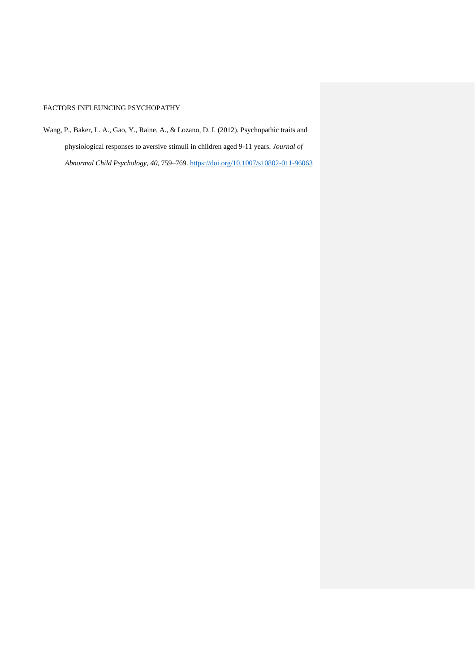Wang, P., Baker, L. A., Gao, Y., Raine, A., & Lozano, D. I. (2012). Psychopathic traits and physiological responses to aversive stimuli in children aged 9-11 years. *Journal of Abnormal Child Psychology*, *40*, 759–769.<https://doi.org/10.1007/s10802-011-96063>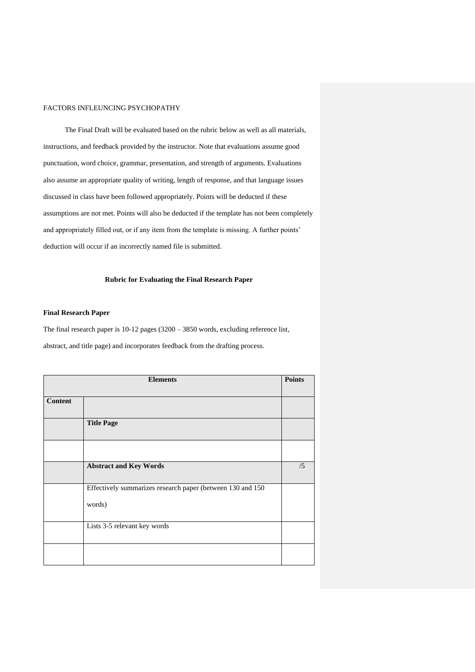The Final Draft will be evaluated based on the rubric below as well as all materials, instructions, and feedback provided by the instructor. Note that evaluations assume good punctuation, word choice, grammar, presentation, and strength of arguments. Evaluations also assume an appropriate quality of writing, length of response, and that language issues discussed in class have been followed appropriately. Points will be deducted if these assumptions are not met. Points will also be deducted if the template has not been completely and appropriately filled out, or if any item from the template is missing. A further points' deduction will occur if an incorrectly named file is submitted.

#### **Rubric for Evaluating the Final Research Paper**

## **Final Research Paper**

The final research paper is 10-12 pages (3200 – 3850 words, excluding reference list, abstract, and title page) and incorporates feedback from the drafting process.

| <b>Elements</b> |                                                                      | <b>Points</b> |
|-----------------|----------------------------------------------------------------------|---------------|
| <b>Content</b>  |                                                                      |               |
|                 | <b>Title Page</b>                                                    |               |
|                 |                                                                      |               |
|                 | <b>Abstract and Key Words</b>                                        | /5            |
|                 | Effectively summarizes research paper (between 130 and 150<br>words) |               |
|                 | Lists 3-5 relevant key words                                         |               |
|                 |                                                                      |               |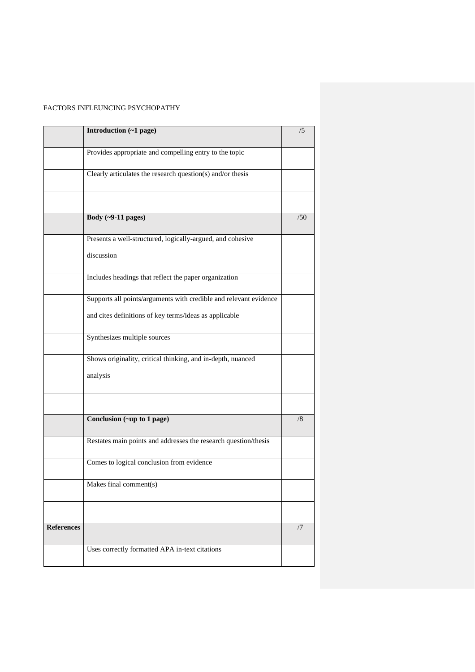|                   | Introduction (~1 page)                                            | /5  |
|-------------------|-------------------------------------------------------------------|-----|
|                   | Provides appropriate and compelling entry to the topic            |     |
|                   | Clearly articulates the research question(s) and/or thesis        |     |
|                   |                                                                   |     |
|                   | Body $(-9-11$ pages)                                              | /50 |
|                   | Presents a well-structured, logically-argued, and cohesive        |     |
|                   | discussion                                                        |     |
|                   | Includes headings that reflect the paper organization             |     |
|                   | Supports all points/arguments with credible and relevant evidence |     |
|                   | and cites definitions of key terms/ideas as applicable            |     |
|                   | Synthesizes multiple sources                                      |     |
|                   | Shows originality, critical thinking, and in-depth, nuanced       |     |
|                   | analysis                                                          |     |
|                   |                                                                   |     |
|                   | Conclusion (~up to 1 page)                                        | /8  |
|                   | Restates main points and addresses the research question/thesis   |     |
|                   | Comes to logical conclusion from evidence                         |     |
|                   | Makes final comment(s)                                            |     |
|                   |                                                                   |     |
| <b>References</b> |                                                                   | /7  |
|                   | Uses correctly formatted APA in-text citations                    |     |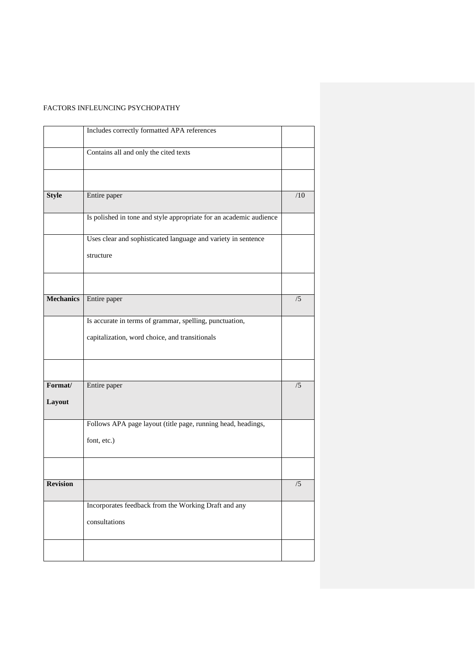|                   | Includes correctly formatted APA references                                 |     |
|-------------------|-----------------------------------------------------------------------------|-----|
|                   | Contains all and only the cited texts                                       |     |
|                   |                                                                             |     |
| <b>Style</b>      | Entire paper                                                                | /10 |
|                   | Is polished in tone and style appropriate for an academic audience          |     |
|                   | Uses clear and sophisticated language and variety in sentence<br>structure  |     |
| <b>Mechanics</b>  | Entire paper                                                                | /5  |
|                   |                                                                             |     |
|                   | Is accurate in terms of grammar, spelling, punctuation,                     |     |
|                   | capitalization, word choice, and transitionals                              |     |
|                   |                                                                             |     |
| Format/<br>Layout | Entire paper                                                                | /5  |
|                   | Follows APA page layout (title page, running head, headings,<br>font, etc.) |     |
|                   |                                                                             |     |
| <b>Revision</b>   |                                                                             | /5  |
|                   | Incorporates feedback from the Working Draft and any<br>consultations       |     |
|                   |                                                                             |     |